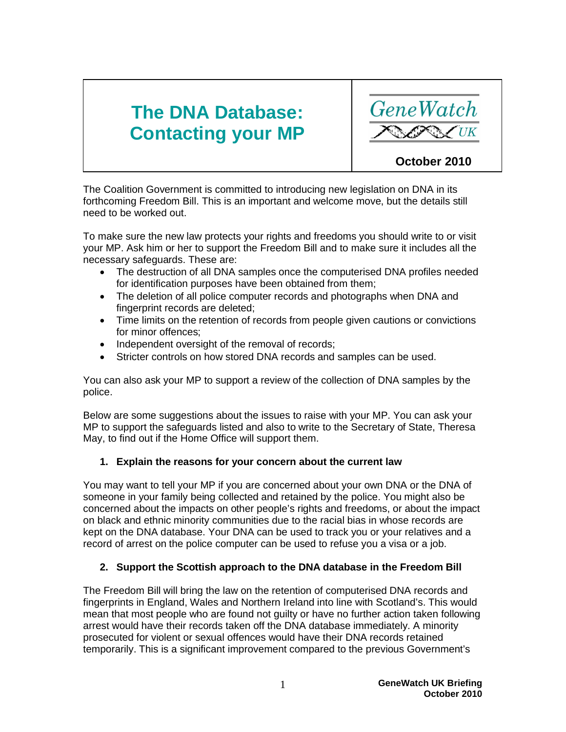# **The DNA Database: Contacting your MP**



The Coalition Government is committed to introducing new legislation on DNA in its forthcoming Freedom Bill. This is an important and welcome move, but the details still need to be worked out.

To make sure the new law protects your rights and freedoms you should write to or visit your MP. Ask him or her to support the Freedom Bill and to make sure it includes all the necessary safeguards. These are:

- The destruction of all DNA samples once the computerised DNA profiles needed for identification purposes have been obtained from them;
- The deletion of all police computer records and photographs when DNA and fingerprint records are deleted;
- Time limits on the retention of records from people given cautions or convictions for minor offences;
- Independent oversight of the removal of records;
- Stricter controls on how stored DNA records and samples can be used.

You can also ask your MP to support a review of the collection of DNA samples by the police.

Below are some suggestions about the issues to raise with your MP. You can ask your MP to support the safeguards listed and also to write to the Secretary of State, Theresa May, to find out if the Home Office will support them.

## **1. Explain the reasons for your concern about the current law**

You may want to tell your MP if you are concerned about your own DNA or the DNA of someone in your family being collected and retained by the police. You might also be concerned about the impacts on other people's rights and freedoms, or about the impact on black and ethnic minority communities due to the racial bias in whose records are kept on the DNA database. Your DNA can be used to track you or your relatives and a record of arrest on the police computer can be used to refuse you a visa or a job.

## **2. Support the Scottish approach to the DNA database in the Freedom Bill**

The Freedom Bill will bring the law on the retention of computerised DNA records and fingerprints in England, Wales and Northern Ireland into line with Scotland's. This would mean that most people who are found not guilty or have no further action taken following arrest would have their records taken off the DNA database immediately. A minority prosecuted for violent or sexual offences would have their DNA records retained temporarily. This is a significant improvement compared to the previous Government's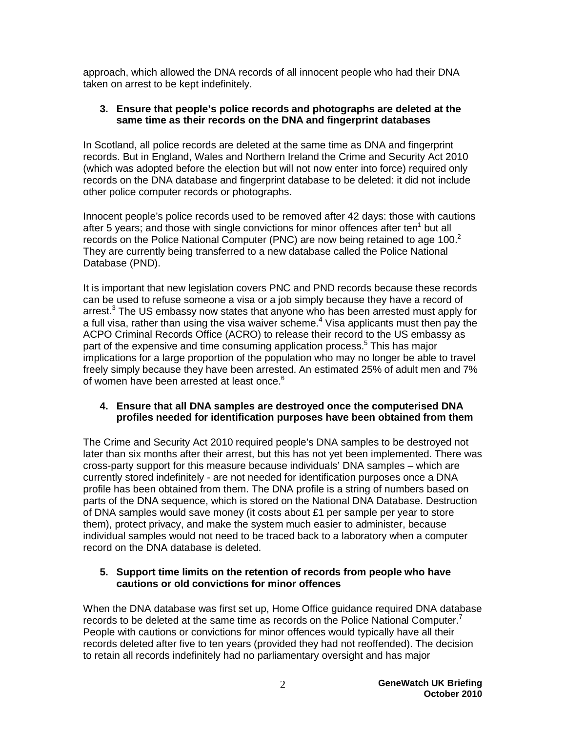approach, which allowed the DNA records of all innocent people who had their DNA taken on arrest to be kept indefinitely.

#### **3. Ensure that people's police records and photographs are deleted at the same time as their records on the DNA and fingerprint databases**

In Scotland, all police records are deleted at the same time as DNA and fingerprint records. But in England, Wales and Northern Ireland the Crime and Security Act 2010 (which was adopted before the election but will not now enter into force) required only records on the DNA database and fingerprint database to be deleted: it did not include other police computer records or photographs.

Innocent people's police records used to be removed after 42 days: those with cautions after 5 years; and those with single convictions for minor offences after ten $<sup>1</sup>$  but all</sup> records on the Police National Computer (PNC) are now being retained to age 100.<sup>2</sup> They are currently being transferred to a new database called the Police National Database (PND).

It is important that new legislation covers PNC and PND records because these records can be used to refuse someone a visa or a job simply because they have a record of arrest.<sup>3</sup> The US embassy now states that anyone who has been arrested must apply for a full visa, rather than using the visa waiver scheme.<sup>4</sup> Visa applicants must then pay the ACPO Criminal Records Office (ACRO) to release their record to the US embassy as part of the expensive and time consuming application process.<sup>5</sup> This has major implications for a large proportion of the population who may no longer be able to travel freely simply because they have been arrested. An estimated 25% of adult men and 7% of women have been arrested at least once.<sup>6</sup>

#### **4. Ensure that all DNA samples are destroyed once the computerised DNA profiles needed for identification purposes have been obtained from them**

The Crime and Security Act 2010 required people's DNA samples to be destroyed not later than six months after their arrest, but this has not yet been implemented. There was cross-party support for this measure because individuals' DNA samples – which are currently stored indefinitely - are not needed for identification purposes once a DNA profile has been obtained from them. The DNA profile is a string of numbers based on parts of the DNA sequence, which is stored on the National DNA Database. Destruction of DNA samples would save money (it costs about £1 per sample per year to store them), protect privacy, and make the system much easier to administer, because individual samples would not need to be traced back to a laboratory when a computer record on the DNA database is deleted.

#### **5. Support time limits on the retention of records from people who have cautions or old convictions for minor offences**

When the DNA database was first set up, Home Office guidance required DNA database records to be deleted at the same time as records on the Police National Computer.<sup>7</sup> People with cautions or convictions for minor offences would typically have all their records deleted after five to ten years (provided they had not reoffended). The decision to retain all records indefinitely had no parliamentary oversight and has major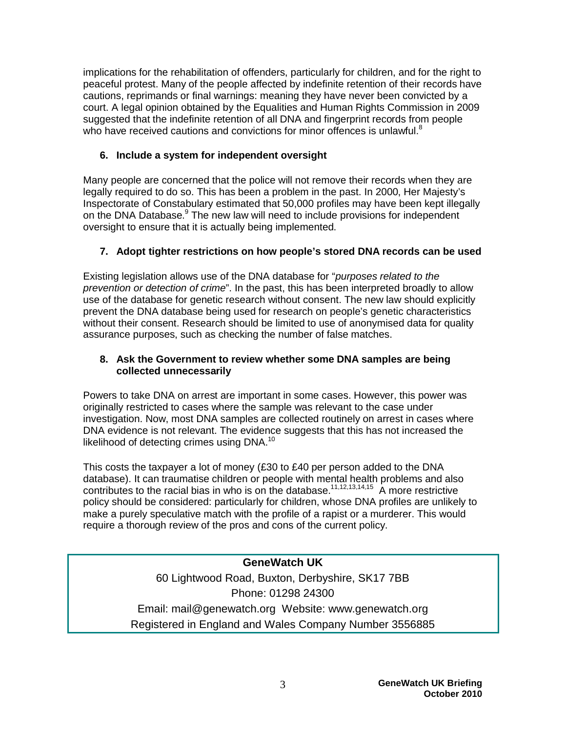implications for the rehabilitation of offenders, particularly for children, and for the right to peaceful protest. Many of the people affected by indefinite retention of their records have cautions, reprimands or final warnings: meaning they have never been convicted by a court. A legal opinion obtained by the Equalities and Human Rights Commission in 2009 suggested that the indefinite retention of all DNA and fingerprint records from people who have received cautions and convictions for minor offences is unlawful. $8$ 

## **6. Include a system for independent oversight**

Many people are concerned that the police will not remove their records when they are legally required to do so. This has been a problem in the past. In 2000, Her Majesty's Inspectorate of Constabulary estimated that 50,000 profiles may have been kept illegally on the DNA Database.<sup>9</sup> The new law will need to include provisions for independent oversight to ensure that it is actually being implemented.

## **7. Adopt tighter restrictions on how people's stored DNA records can be used**

Existing legislation allows use of the DNA database for "*purposes related to the prevention or detection of crime*". In the past, this has been interpreted broadly to allow use of the database for genetic research without consent. The new law should explicitly prevent the DNA database being used for research on people's genetic characteristics without their consent. Research should be limited to use of anonymised data for quality assurance purposes, such as checking the number of false matches.

### **8. Ask the Government to review whether some DNA samples are being collected unnecessarily**

Powers to take DNA on arrest are important in some cases. However, this power was originally restricted to cases where the sample was relevant to the case under investigation. Now, most DNA samples are collected routinely on arrest in cases where DNA evidence is not relevant. The evidence suggests that this has not increased the likelihood of detecting crimes using DNA.<sup>10</sup>

This costs the taxpayer a lot of money (£30 to £40 per person added to the DNA database). It can traumatise children or people with mental health problems and also contributes to the racial bias in who is on the database.<sup>11,12,13,14,15</sup> A more restrictive policy should be considered: particularly for children, whose DNA profiles are unlikely to make a purely speculative match with the profile of a rapist or a murderer. This would require a thorough review of the pros and cons of the current policy.

> **GeneWatch UK** 60 Lightwood Road, Buxton, Derbyshire, SK17 7BB Phone: 01298 24300 Email: mail@genewatch.org Website: www.genewatch.org Registered in England and Wales Company Number 3556885